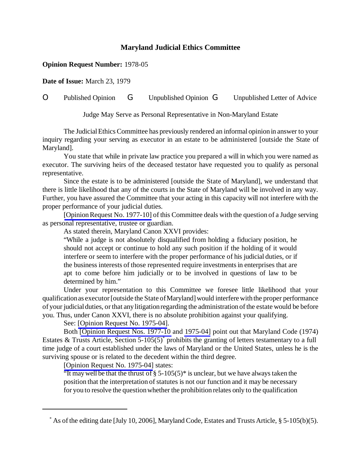## **Maryland Judicial Ethics Committee**

## **Opinion Request Number:** 1978-05

**Date of Issue:** March 23, 1979

## O Published Opinion G Unpublished Opinion G Unpublished Letter of Advice

Judge May Serve as Personal Representative in Non-Maryland Estate

The JudicialEthics Committee has previously rendered an informal opinion in answer to your inquiry regarding your serving as executor in an estate to be administered [outside the State of Maryland].

You state that while in private law practice you prepared a will in which you were named as executor. The surviving heirs of the deceased testator have requested you to qualify as personal representative.

Since the estate is to be administered [outside the State of Maryland], we understand that there is little likelihood that any of the courts in the State of Maryland will be involved in any way. Further, you have assured the Committee that your acting in this capacity will not interfere with the proper performance of your judicial duties.

[Opinion Request No. 1977-10] of this Committee deals with the question of a Judge serving as personal representative, trustee or guardian.

As stated therein, Maryland Canon XXVI provides:

"While a judge is not absolutely disqualified from holding a fiduciary position, he should not accept or continue to hold any such position if the holding of it would interfere or seem to interfere with the proper performance of his judicial duties, or if the business interests of those represented require investments in enterprises that are apt to come before him judicially or to be involved in questions of law to be determined by him."

Under your representation to this Committee we foresee little likelihood that your qualification as executor [outside the State of Maryland] would interfere with the proper performance of your judicial duties, orthat any litigationregarding the administration ofthe estate would be before you. Thus, under Canon XXVI, there is no absolute prohibition against your qualifying.

See: [\[Opinion Request No. 1975-04\]](http://www.mdcourts.gov/ethics/pdfs/1975-04.pdf).

Both [\[Opinion Request Nos. 1977-10](http://www.mdcourts.gov/ethics/pdfs/1977-10.pdf) and [1975-04\]](http://www.mdcourts.gov/ethics/pdfs/1975-04.pdf) point out that Maryland Code (1974) Estates & Trusts Article, Section  $5-105(5)$ <sup>\*</sup> prohibits the granting of letters testamentary to a full time judge of a court established under the laws of Maryland or the United States, unless he is the surviving spouse or is related to the decedent within the third degree.

[\[Opinion Request No. 1975-04\]](http://www.mdcourts.gov/ethics/pdfs/1975-04.pdf) states:

"It may well be that the thrust of  $\S 5{\text -}105(5)$ " is unclear, but we have always taken the position that the interpretation of statutes is not our function and it may be necessary for you to resolve the questionwhether the prohibition relates only to the qualification

 $*$  As of the editing date [July 10, 2006], Maryland Code, Estates and Trusts Article, § 5-105(b)(5).